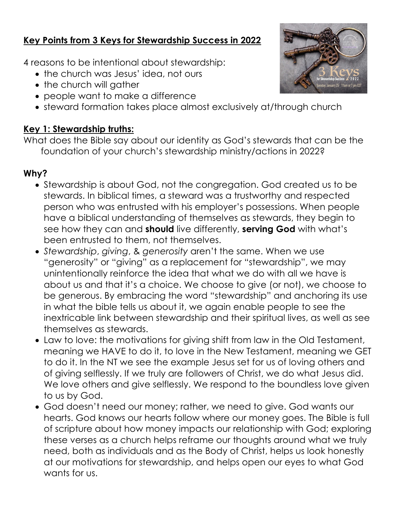## **Key Points from 3 Keys for Stewardship Success in 2022**

4 reasons to be intentional about stewardship:

- the church was Jesus' idea, not ours
- the church will gather
- people want to make a difference
- steward formation takes place almost exclusively at/through church

## **Key 1: Stewardship truths:**

What does the Bible say about our identity as God's stewards that can be the foundation of your church's stewardship ministry/actions in 2022?

## **Why?**

- Stewardship is about God, not the congregation. God created us to be stewards. In biblical times, a steward was a trustworthy and respected person who was entrusted with his employer's possessions. When people have a biblical understanding of themselves as stewards, they begin to see how they can and **should** live differently, **serving God** with what's been entrusted to them, not themselves.
- *Stewardship*, *giving*, & *generosity* aren't the same. When we use "generosity" or "giving" as a replacement for "stewardship", we may unintentionally reinforce the idea that what we do with all we have is about us and that it's a choice. We choose to give (or not), we choose to be generous. By embracing the word "stewardship" and anchoring its use in what the bible tells us about it, we again enable people to see the inextricable link between stewardship and their spiritual lives, as well as see themselves as stewards.
- Law to love: the motivations for giving shift from law in the Old Testament, meaning we HAVE to do it, to love in the New Testament, meaning we GET to do it. In the NT we see the example Jesus set for us of loving others and of giving selflessly. If we truly are followers of Christ, we do what Jesus did. We love others and give selflessly. We respond to the boundless love given to us by God.
- God doesn't need our money; rather, we need to give. God wants our hearts. God knows our hearts follow where our money goes. The Bible is full of scripture about how money impacts our relationship with God; exploring these verses as a church helps reframe our thoughts around what we truly need, both as individuals and as the Body of Christ, helps us look honestly at our motivations for stewardship, and helps open our eyes to what God wants for us.

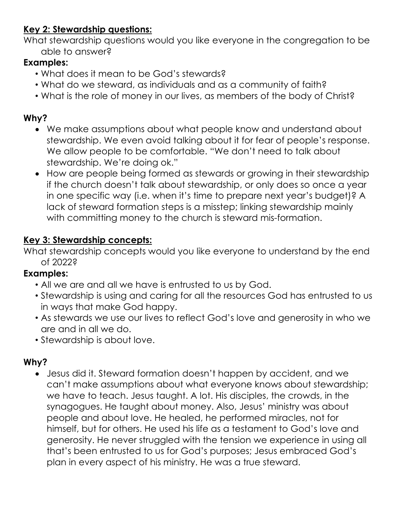# **Key 2: Stewardship questions:**

What stewardship questions would you like everyone in the congregation to be able to answer?

## **Examples:**

- What does it mean to be God's stewards?
- What do we steward, as individuals and as a community of faith?
- What is the role of money in our lives, as members of the body of Christ?

## **Why?**

- We make assumptions about what people know and understand about stewardship. We even avoid talking about it for fear of people's response. We allow people to be comfortable. "We don't need to talk about stewardship. We're doing ok."
- How are people being formed as stewards or growing in their stewardship if the church doesn't talk about stewardship, or only does so once a year in one specific way (i.e. when it's time to prepare next year's budget)? A lack of steward formation steps is a misstep; linking stewardship mainly with committing money to the church is steward mis-formation.

#### **Key 3: Stewardship concepts:**

What stewardship concepts would you like everyone to understand by the end of 2022?

#### **Examples:**

- All we are and all we have is entrusted to us by God.
- Stewardship is using and caring for all the resources God has entrusted to us in ways that make God happy.
- As stewards we use our lives to reflect God's love and generosity in who we are and in all we do.
- Stewardship is about love.

#### **Why?**

• Jesus did it. Steward formation doesn't happen by accident, and we can't make assumptions about what everyone knows about stewardship; we have to teach. Jesus taught. A lot. His disciples, the crowds, in the synagogues. He taught about money. Also, Jesus' ministry was about people and about love. He healed, he performed miracles, not for himself, but for others. He used his life as a testament to God's love and generosity. He never struggled with the tension we experience in using all that's been entrusted to us for God's purposes; Jesus embraced God's plan in every aspect of his ministry. He was a true steward.